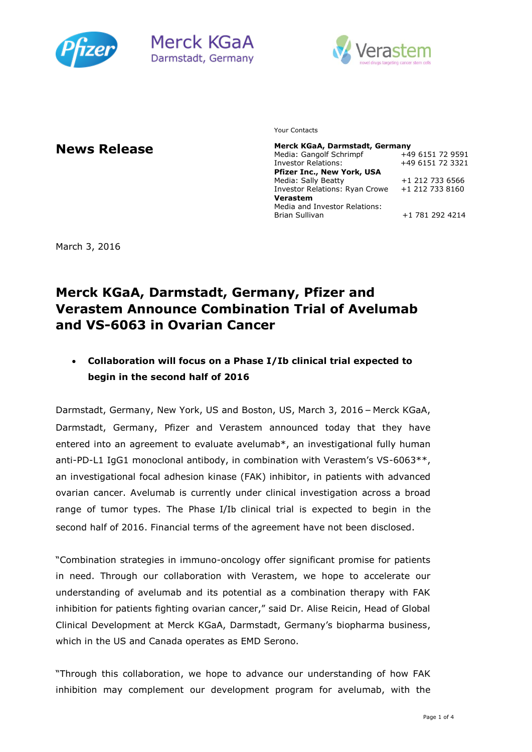





Your Contacts

**News Release Merck KGaA, Darmstadt, Germany** Media: Gangolf Schrimpf Investor Relations: +49 6151 72 3321 **Pfizer Inc., New York, USA** Media: Sally Beatty +1 212 733 6566 Investor Relations: Ryan Crowe +1 212 733 8160 **Verastem** Media and Investor Relations: Brian Sullivan +1 781 292 4214

March 3, 2016

# **Merck KGaA, Darmstadt, Germany, Pfizer and Verastem Announce Combination Trial of Avelumab and VS-6063 in Ovarian Cancer**

### **Collaboration will focus on a Phase I/Ib clinical trial expected to begin in the second half of 2016**

Darmstadt, Germany, New York, US and Boston, US, March 3, 2016 – Merck KGaA, Darmstadt, Germany, Pfizer and Verastem announced today that they have entered into an agreement to evaluate avelumab\*, an investigational fully human anti-PD-L1 IgG1 monoclonal antibody, in combination with Verastem's VS-6063\*\*, an investigational focal adhesion kinase (FAK) inhibitor, in patients with advanced ovarian cancer. Avelumab is currently under clinical investigation across a broad range of tumor types. The Phase I/Ib clinical trial is expected to begin in the second half of 2016. Financial terms of the agreement have not been disclosed.

"Combination strategies in immuno-oncology offer significant promise for patients in need. Through our collaboration with Verastem, we hope to accelerate our understanding of avelumab and its potential as a combination therapy with FAK inhibition for patients fighting ovarian cancer," said Dr. Alise Reicin, Head of Global Clinical Development at Merck KGaA, Darmstadt, Germany's biopharma business, which in the US and Canada operates as EMD Serono.

"Through this collaboration, we hope to advance our understanding of how FAK inhibition may complement our development program for avelumab, with the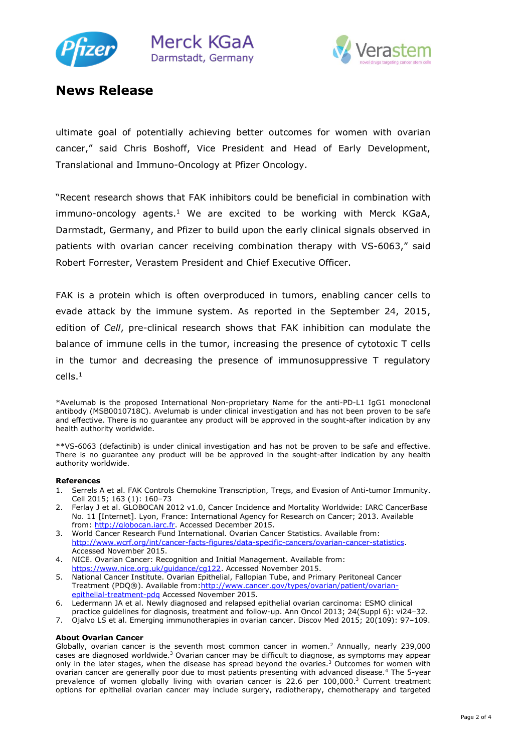





## **News Release**

ultimate goal of potentially achieving better outcomes for women with ovarian cancer," said Chris Boshoff, Vice President and Head of Early Development, Translational and Immuno-Oncology at Pfizer Oncology.

"Recent research shows that FAK inhibitors could be beneficial in combination with immuno-oncology agents.<sup>1</sup> We are excited to be working with Merck KGaA, Darmstadt, Germany, and Pfizer to build upon the early clinical signals observed in patients with ovarian cancer receiving combination therapy with VS-6063," said Robert Forrester, Verastem President and Chief Executive Officer.

FAK is a protein which is often overproduced in tumors, enabling cancer cells to evade attack by the immune system. As reported in the September 24, 2015, edition of *Cell*, pre-clinical research shows that FAK inhibition can modulate the balance of immune cells in the tumor, increasing the presence of cytotoxic T cells in the tumor and decreasing the presence of immunosuppressive T regulatory cells.<sup>1</sup>

#### **References**

- 1. Serrels A et al. FAK Controls Chemokine Transcription, Tregs, and Evasion of Anti-tumor Immunity. Cell 2015; 163 (1): 160–73
- 2. Ferlay J et al. GLOBOCAN 2012 v1.0, Cancer Incidence and Mortality Worldwide: IARC CancerBase No. 11 [Internet]. Lyon, France: International Agency for Research on Cancer; 2013. Available from[: http://globocan.iarc.fr.](http://globocan.iarc.fr/) Accessed December 2015.
- 3. World Cancer Research Fund International. Ovarian Cancer Statistics. Available from: [http://www.wcrf.org/int/cancer-facts-figures/data-specific-cancers/ovarian-cancer-statistics.](http://www.wcrf.org/int/cancer-facts-figures/data-specific-cancers/ovarian-cancer-statistics) Accessed November 2015.
- 4. NICE. Ovarian Cancer: Recognition and Initial Management. Available from: [https://www.nice.org.uk/guidance/cg122.](https://www.nice.org.uk/guidance/cg122) Accessed November 2015.
- 5. National Cancer Institute. Ovarian Epithelial, Fallopian Tube, and Primary Peritoneal Cancer Treatment (PDQ®). Available from[:http://www.cancer.gov/types/ovarian/patient/ovarian](http://www.cancer.gov/types/ovarian/patient/ovarian-epithelial-treatment-pdq)[epithelial-treatment-pdq](http://www.cancer.gov/types/ovarian/patient/ovarian-epithelial-treatment-pdq) Accessed November 2015.
- 6. Ledermann JA et al. Newly diagnosed and relapsed epithelial ovarian carcinoma: ESMO clinical
- practice guidelines for diagnosis, treatment and follow-up. [Ann Oncol](http://www.ncbi.nlm.nih.gov/pubmed/24078660) 2013; 24(Suppl 6): vi24–32.
- 7. Ojalvo LS et al. Emerging immunotherapies in ovarian cancer. Discov Med 2015; 20(109): 97–109.

#### **About Ovarian Cancer**

Globally, ovarian cancer is the seventh most common cancer in women.<sup>2</sup> Annually, nearly 239,000 cases are diagnosed worldwide.<sup>3</sup> Ovarian cancer may be difficult to diagnose, as symptoms may appear only in the later stages, when the disease has spread beyond the ovaries.<sup>3</sup> Outcomes for women with ovarian cancer are generally poor due to most patients presenting with advanced disease.<sup>4</sup> The 5-year prevalence of women globally living with ovarian cancer is 22.6 per 100,000.<sup>3</sup> Current treatment options for epithelial ovarian cancer may include surgery, radiotherapy, chemotherapy and targeted

<sup>\*</sup>Avelumab is the proposed International Non-proprietary Name for the anti-PD-L1 IgG1 monoclonal antibody (MSB0010718C). Avelumab is under clinical investigation and has not been proven to be safe and effective. There is no guarantee any product will be approved in the sought-after indication by any health authority worldwide.

<sup>\*\*</sup>VS-6063 (defactinib) is under clinical investigation and has not be proven to be safe and effective. There is no guarantee any product will be be approved in the sought-after indication by any health authority worldwide.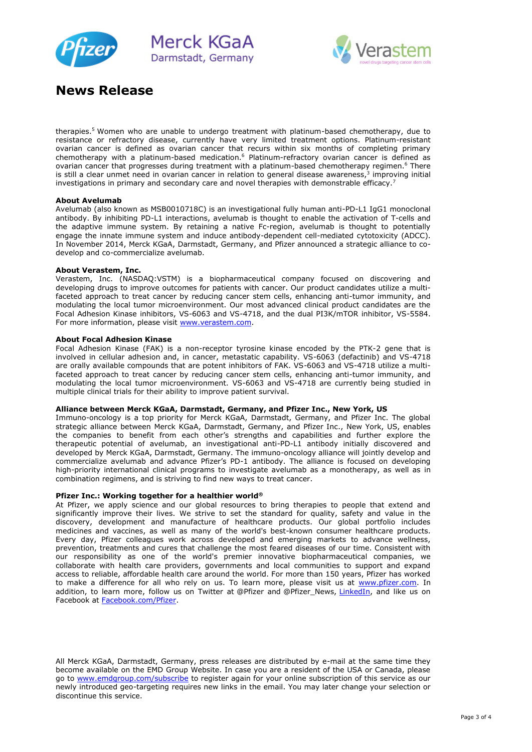



## **News Release**

therapies.<sup>5</sup> Women who are unable to undergo treatment with platinum-based chemotherapy, due to resistance or refractory disease, currently have very limited treatment options. Platinum-resistant ovarian cancer is defined as ovarian cancer that recurs within six months of completing primary chemotherapy with a platinum-based medication.<sup>6</sup> Platinum-refractory ovarian cancer is defined as ovarian cancer that progresses during treatment with a platinum-based chemotherapy regimen.<sup>6</sup> There is still a clear unmet need in ovarian cancer in relation to general disease awareness, $3$  improving initial investigations in primary and secondary care and novel therapies with demonstrable efficacy.<sup>7</sup>

#### **About Avelumab**

Avelumab (also known as MSB0010718C) is an investigational fully human anti-PD-L1 IgG1 monoclonal antibody. By inhibiting PD-L1 interactions, avelumab is thought to enable the activation of T-cells and the adaptive immune system. By retaining a native Fc-region, avelumab is thought to potentially engage the innate immune system and induce antibody-dependent cell-mediated cytotoxicity (ADCC). In November 2014, Merck KGaA, Darmstadt, Germany, and Pfizer announced a strategic alliance to codevelop and co-commercialize avelumab.

#### **About Verastem, Inc.**

Verastem, Inc. (NASDAQ:VSTM) is a biopharmaceutical company focused on discovering and developing drugs to improve outcomes for patients with cancer. Our product candidates utilize a multifaceted approach to treat cancer by reducing cancer stem cells, enhancing anti-tumor immunity, and modulating the local tumor microenvironment. Our most advanced clinical product candidates are the Focal Adhesion Kinase inhibitors, VS-6063 and VS-4718, and the dual PI3K/mTOR inhibitor, VS-5584. For more information, please visit [www.verastem.com.](http://www.verastem.com/)

#### **About Focal Adhesion Kinase**

Focal Adhesion Kinase (FAK) is a non-receptor tyrosine kinase encoded by the PTK-2 gene that is involved in cellular adhesion and, in cancer, metastatic capability. VS-6063 (defactinib) and VS-4718 are orally available compounds that are potent inhibitors of FAK. VS-6063 and VS-4718 utilize a multifaceted approach to treat cancer by reducing cancer stem cells, enhancing anti-tumor immunity, and modulating the local tumor microenvironment. VS-6063 and VS-4718 are currently being studied in multiple clinical trials for their ability to improve patient survival.

#### **Alliance between Merck KGaA, Darmstadt, Germany, and Pfizer Inc., New York, US**

Immuno-oncology is a top priority for Merck KGaA, Darmstadt, Germany, and Pfizer Inc. The global strategic alliance between Merck KGaA, Darmstadt, Germany, and Pfizer Inc., New York, US, enables the companies to benefit from each other's strengths and capabilities and further explore the therapeutic potential of avelumab, an investigational anti-PD-L1 antibody initially discovered and developed by Merck KGaA, Darmstadt, Germany. The immuno-oncology alliance will jointly develop and commercialize avelumab and advance Pfizer's PD-1 antibody. The alliance is focused on developing high-priority international clinical programs to investigate avelumab as a monotherapy, as well as in combination regimens, and is striving to find new ways to treat cancer.

#### **Pfizer Inc.: Working together for a healthier world®**

At Pfizer, we apply science and our global resources to bring therapies to people that extend and significantly improve their lives. We strive to set the standard for quality, safety and value in the discovery, development and manufacture of healthcare products. Our global portfolio includes medicines and vaccines, as well as many of the world's best-known consumer healthcare products. Every day, Pfizer colleagues work across developed and emerging markets to advance wellness, prevention, treatments and cures that challenge the most feared diseases of our time. Consistent with our responsibility as one of the world's premier innovative biopharmaceutical companies, we collaborate with health care providers, governments and local communities to support and expand access to reliable, affordable health care around the world. For more than 150 years, Pfizer has worked to make a difference for all who rely on us. To learn more, please visit us at [www.pfizer.com.](http://www.pfizer.com/) In addition, to learn more, follow us on Twitter at @Pfizer and @Pfizer News, [LinkedIn,](http://cts.businesswire.com/ct/CT?id=smartlink&url=https%3A%2F%2Fwww.linkedin.com%2Fcompany%2Fpfizer&esheet=51256083&newsitemid=20160108005861&lan=en-US&anchor=LinkedIn&index=2&md5=1b6773a5def232c9277cde37228c95ea) and like us on Facebook at [Facebook.com/Pfizer.](https://www.facebook.com/Pfizer)

All Merck KGaA, Darmstadt, Germany, press releases are distributed by e-mail at the same time they become available on the EMD Group Website. In case you are a resident of the USA or Canada, please go to [www.emdgroup.com/subscribe](http://www.emdgroup.com/subscribe) to register again for your online subscription of this service as our newly introduced geo-targeting requires new links in the email. You may later change your selection or discontinue this service.